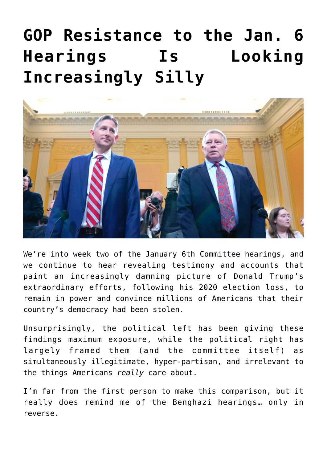## **[GOP Resistance to the Jan. 6](https://bernardgoldberg.com/gop-resistance-to-the-jan-6-hearings-is-looking-increasingly-silly/) [Hearings Is Looking](https://bernardgoldberg.com/gop-resistance-to-the-jan-6-hearings-is-looking-increasingly-silly/) [Increasingly Silly](https://bernardgoldberg.com/gop-resistance-to-the-jan-6-hearings-is-looking-increasingly-silly/)**



We're into week two of the January 6th Committee hearings, and we continue to hear [revealing testimony and accounts](https://hotair.com/allahpundit/2022/06/16/the-horrible-mr-eastman-n476804) that paint an increasingly damning picture of Donald Trump's extraordinary efforts, following his 2020 election loss, to remain in power and convince millions of Americans that their country's democracy had been stolen.

Unsurprisingly, the political left has been giving these findings maximum exposure, while the political right has largely framed them (and the committee itself) as simultaneously illegitimate, hyper-partisan, and irrelevant to the things Americans *really* care about.

I'm far from the first person to make this comparison, but it really does remind me of the Benghazi hearings… only in reverse.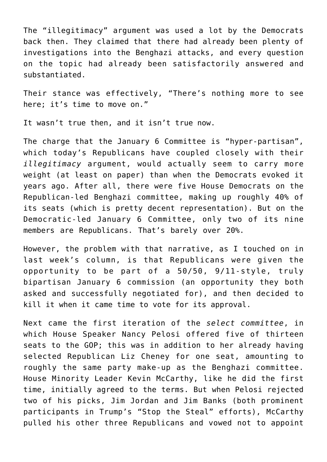The "illegitimacy" argument was used a lot by the Democrats back then. They claimed that there had already been plenty of investigations into the Benghazi attacks, and every question on the topic had already been satisfactorily answered and substantiated.

Their stance was effectively, "There's nothing more to see here; it's time to move on."

It wasn't true then, and it isn't true now.

The charge that the January 6 Committee is "hyper-partisan", which today's Republicans have coupled closely with their *illegitimacy* argument, would actually seem to carry more weight (at least on paper) than when the Democrats evoked it years ago. After all, there were five House Democrats on the Republican-led Benghazi committee, making up roughly 40% of its seats (which is pretty decent representation). But on the Democratic-led January 6 Committee, only two of its nine members are Republicans. That's barely over 20%.

However, the problem with that narrative, as I [touched on](https://bernardgoldberg.substack.com/p/thoughts-on-the-first-january-6-committee?r=1k62c&s=w&utm_campaign=post&utm_medium=web) in last week's column, is that Republicans were given the opportunity to be part of a 50/50, 9/11-style, truly bipartisan January 6 commission (an opportunity they both asked and successfully negotiated for), and then decided to kill it when it came time to vote for its approval.

Next came the first iteration of the *select committee*, in which House Speaker Nancy Pelosi offered five of thirteen seats to the GOP; this was in addition to her already having selected Republican Liz Cheney for one seat, amounting to roughly the same party make-up as the Benghazi committee. House Minority Leader Kevin McCarthy, like he did the first time, initially agreed to the terms. But when Pelosi rejected two of his picks, Jim Jordan and Jim Banks (both prominent participants in Trump's "Stop the Steal" efforts), McCarthy pulled his other three Republicans and vowed not to appoint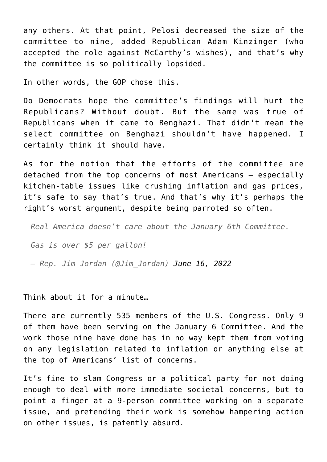any others. At that point, Pelosi decreased the size of the committee to nine, added Republican Adam Kinzinger (who accepted the role against McCarthy's wishes), and that's why the committee is so politically lopsided.

In other words, the GOP chose this.

Do Democrats hope the committee's findings will hurt the Republicans? Without doubt. But the same was true of Republicans when it came to Benghazi. That didn't mean the select committee on Benghazi shouldn't have happened. I certainly think it should have.

As for the notion that the efforts of the committee are detached from the top concerns of most Americans — especially kitchen-table issues like crushing inflation and gas prices, it's safe to say that's true. And that's why it's perhaps the right's worst argument, despite being parroted so often.

*Real America doesn't care about the January 6th Committee.*

*Gas is over \$5 per gallon!*

*— Rep. Jim Jordan (@Jim\_Jordan) [June 16, 2022](https://twitter.com/Jim_Jordan/status/1537509088225071117?ref_src=twsrc%5Etfw)*

Think about it for a minute…

There are currently 535 members of the U.S. Congress. Only 9 of them have been serving on the January 6 Committee. And the work those nine have done has in no way kept them from voting on any legislation related to inflation or anything else at the top of Americans' list of concerns.

It's fine to slam Congress or a political party for not doing enough to deal with more immediate societal concerns, but to point a finger at a 9-person committee working on a separate issue, and pretending their work is somehow hampering action on other issues, is patently absurd.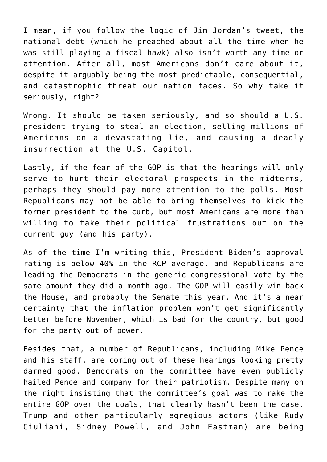I mean, if you follow the logic of Jim Jordan's tweet, the national debt (which he preached about all the time when he was still playing a fiscal hawk) also isn't worth any time or attention. After all, most Americans don't care about it, despite it arguably being the most predictable, consequential, and catastrophic threat our nation faces. So why take it seriously, right?

Wrong. It should be taken seriously, and so should a U.S. president trying to steal an election, selling millions of Americans on a devastating lie, and causing a deadly insurrection at the U.S. Capitol.

Lastly, if the fear of the GOP is that the hearings will only serve to hurt their electoral prospects in the midterms, perhaps they should pay more attention to the polls. Most Republicans may not be able to bring themselves to kick the former president to the curb, but most Americans are more than willing to take their political frustrations out on the current guy (and his party).

As of the time I'm writing this, President Biden's approval rating is below 40% in the RCP average, and Republicans are leading the Democrats in the generic congressional vote by the same amount they did a month ago. The GOP will easily win back the House, and probably the Senate this year. And it's a near certainty that the inflation problem won't get significantly better before November, which is bad for the country, but good for the party out of power.

Besides that, a number of Republicans, including Mike Pence and his staff, are coming out of these hearings looking pretty darned good. Democrats on the committee have even publicly hailed Pence and company for their patriotism. Despite many on the right insisting that the committee's goal was to rake the entire GOP over the coals, that clearly hasn't been the case. Trump and other particularly egregious actors (like Rudy Giuliani, Sidney Powell, and John Eastman) are being